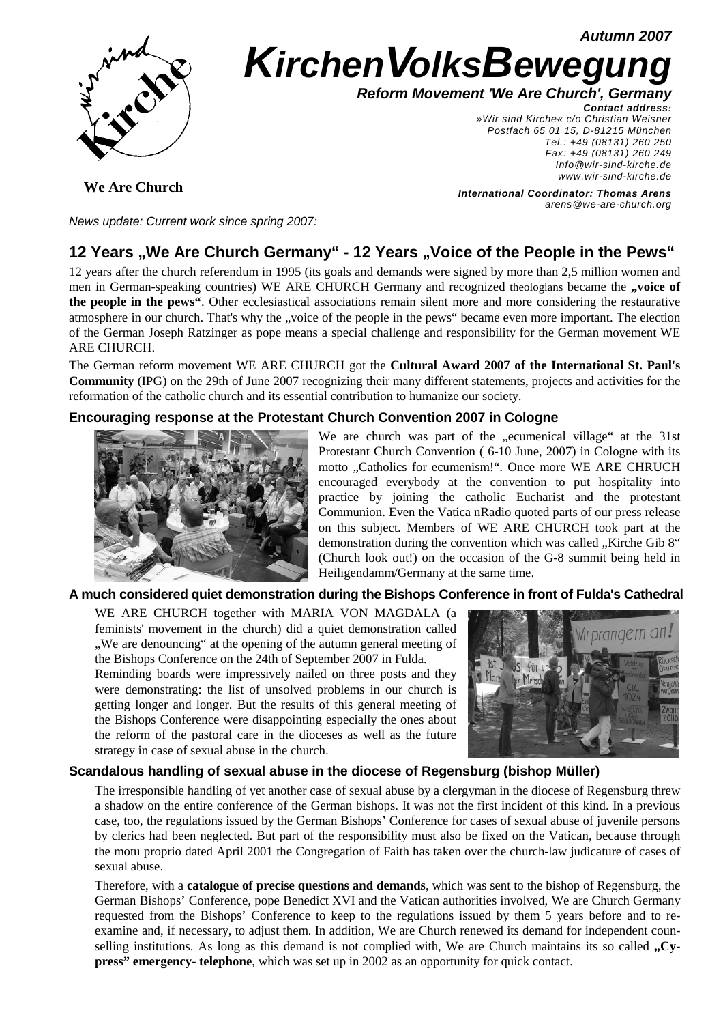**Autumn 2007**



# **KirchenVolksBewegung**

**Reform Movement 'We Are Church', Germany**

**Contact address:**  »Wir sind Kirche« c/o Christian Weisner Postfach 65 01 15, D-81215 München Tel.: +49 (08131) 260 250 Fax: +49 (08131) 260 249 Info@wir-sind-kirche.de www.wir-sind-kirche.de

**We Are Church**

**International Coordinator: Thomas Arens** arens@we-are-church.org

News update: Current work since spring 2007:

# 12 Years "We Are Church Germany" - 12 Years "Voice of the People in the Pews"

12 years after the church referendum in 1995 (its goals and demands were signed by more than 2,5 million women and men in German-speaking countries) WE ARE CHURCH Germany and recognized theologians became the **"voice of the people in the pews"**. Other ecclesiastical associations remain silent more and more considering the restaurative atmosphere in our church. That's why the "voice of the people in the pews" became even more important. The election of the German Joseph Ratzinger as pope means a special challenge and responsibility for the German movement WE ARE CHURCH.

The German reform movement WE ARE CHURCH got the **Cultural Award 2007 of the International St. Paul's Community** (IPG) on the 29th of June 2007 recognizing their many different statements, projects and activities for the reformation of the catholic church and its essential contribution to humanize our society.

# **Encouraging response at the Protestant Church Convention 2007 in Cologne**



We are church was part of the "ecumenical village" at the 31st Protestant Church Convention ( 6-10 June, 2007) in Cologne with its motto "Catholics for ecumenism!". Once more WE ARE CHRUCH encouraged everybody at the convention to put hospitality into practice by joining the catholic Eucharist and the protestant Communion. Even the Vatica nRadio quoted parts of our press release on this subject. Members of WE ARE CHURCH took part at the demonstration during the convention which was called "Kirche Gib 8" (Church look out!) on the occasion of the G-8 summit being held in Heiligendamm/Germany at the same time.

# **A much considered quiet demonstration during the Bishops Conference in front of Fulda's Cathedral**

WE ARE CHURCH together with MARIA VON MAGDALA (a feminists' movement in the church) did a quiet demonstration called ", We are denouncing" at the opening of the autumn general meeting of the Bishops Conference on the 24th of September 2007 in Fulda.

Reminding boards were impressively nailed on three posts and they were demonstrating: the list of unsolved problems in our church is getting longer and longer. But the results of this general meeting of the Bishops Conference were disappointing especially the ones about the reform of the pastoral care in the dioceses as well as the future strategy in case of sexual abuse in the church.



# **Scandalous handling of sexual abuse in the diocese of Regensburg (bishop Müller)**

The irresponsible handling of yet another case of sexual abuse by a clergyman in the diocese of Regensburg threw a shadow on the entire conference of the German bishops. It was not the first incident of this kind. In a previous case, too, the regulations issued by the German Bishops' Conference for cases of sexual abuse of juvenile persons by clerics had been neglected. But part of the responsibility must also be fixed on the Vatican, because through the motu proprio dated April 2001 the Congregation of Faith has taken over the church-law judicature of cases of sexual abuse.

Therefore, with a **catalogue of precise questions and demands**, which was sent to the bishop of Regensburg, the German Bishops' Conference, pope Benedict XVI and the Vatican authorities involved, We are Church Germany requested from the Bishops' Conference to keep to the regulations issued by them 5 years before and to reexamine and, if necessary, to adjust them. In addition, We are Church renewed its demand for independent counselling institutions. As long as this demand is not complied with, We are Church maintains its so called **, Cypress" emergency- telephone**, which was set up in 2002 as an opportunity for quick contact.